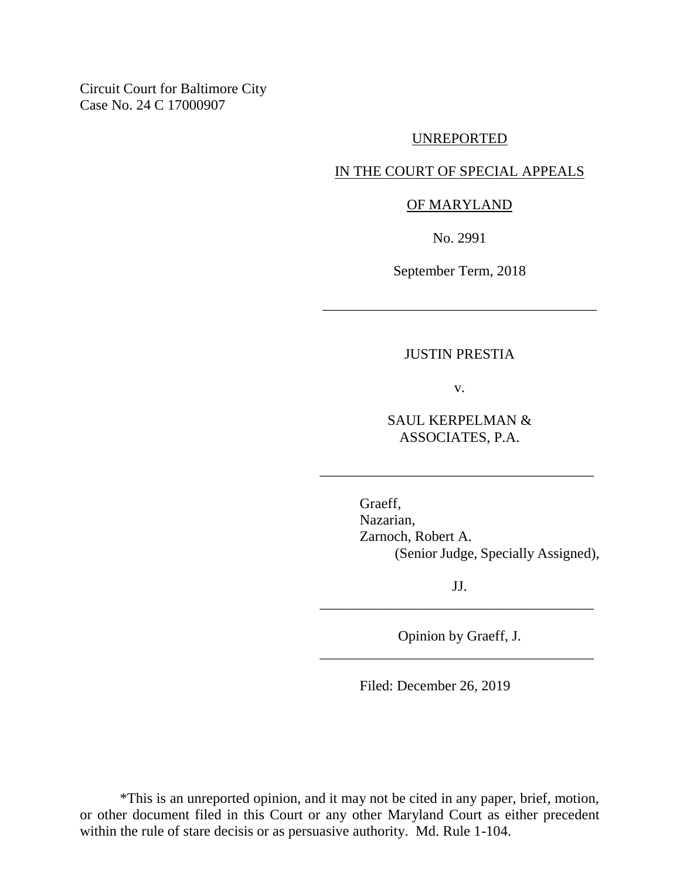Circuit Court for Baltimore City Case No. 24 C 17000907

#### UNREPORTED

## IN THE COURT OF SPECIAL APPEALS

#### OF MARYLAND

No. 2991

September Term, 2018

\_\_\_\_\_\_\_\_\_\_\_\_\_\_\_\_\_\_\_\_\_\_\_\_\_\_\_\_\_\_\_\_\_\_\_\_\_\_

#### JUSTIN PRESTIA

v.

SAUL KERPELMAN & ASSOCIATES, P.A.

\_\_\_\_\_\_\_\_\_\_\_\_\_\_\_\_\_\_\_\_\_\_\_\_\_\_\_\_\_\_\_\_\_\_\_\_\_\_

Graeff, Nazarian, Zarnoch, Robert A. (Senior Judge, Specially Assigned),

JJ. \_\_\_\_\_\_\_\_\_\_\_\_\_\_\_\_\_\_\_\_\_\_\_\_\_\_\_\_\_\_\_\_\_\_\_\_\_\_

Opinion by Graeff, J. \_\_\_\_\_\_\_\_\_\_\_\_\_\_\_\_\_\_\_\_\_\_\_\_\_\_\_\_\_\_\_\_\_\_\_\_\_\_

Filed: December 26, 2019

\*This is an unreported opinion, and it may not be cited in any paper, brief, motion, or other document filed in this Court or any other Maryland Court as either precedent within the rule of stare decisis or as persuasive authority. Md. Rule 1-104.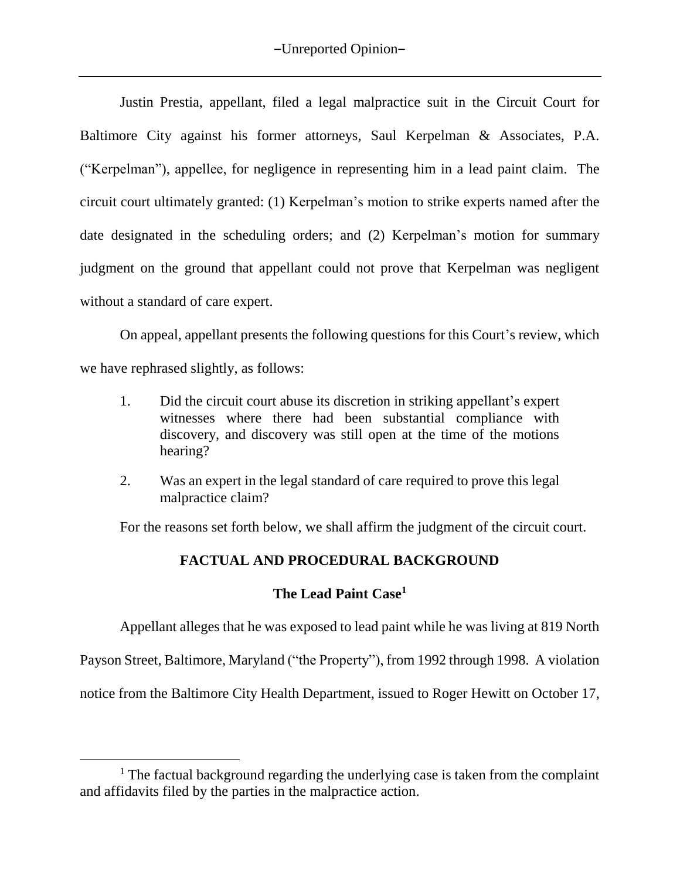Justin Prestia, appellant, filed a legal malpractice suit in the Circuit Court for Baltimore City against his former attorneys, Saul Kerpelman & Associates, P.A. ("Kerpelman"), appellee, for negligence in representing him in a lead paint claim. The circuit court ultimately granted: (1) Kerpelman's motion to strike experts named after the date designated in the scheduling orders; and (2) Kerpelman's motion for summary judgment on the ground that appellant could not prove that Kerpelman was negligent without a standard of care expert.

On appeal, appellant presents the following questions for this Court's review, which we have rephrased slightly, as follows:

- 1. Did the circuit court abuse its discretion in striking appellant's expert witnesses where there had been substantial compliance with discovery, and discovery was still open at the time of the motions hearing?
- 2. Was an expert in the legal standard of care required to prove this legal malpractice claim?

For the reasons set forth below, we shall affirm the judgment of the circuit court.

# **FACTUAL AND PROCEDURAL BACKGROUND**

# **The Lead Paint Case<sup>1</sup>**

Appellant alleges that he was exposed to lead paint while he was living at 819 North Payson Street, Baltimore, Maryland ("the Property"), from 1992 through 1998. A violation

notice from the Baltimore City Health Department, issued to Roger Hewitt on October 17,

 $\overline{a}$ 

<sup>&</sup>lt;sup>1</sup> The factual background regarding the underlying case is taken from the complaint and affidavits filed by the parties in the malpractice action.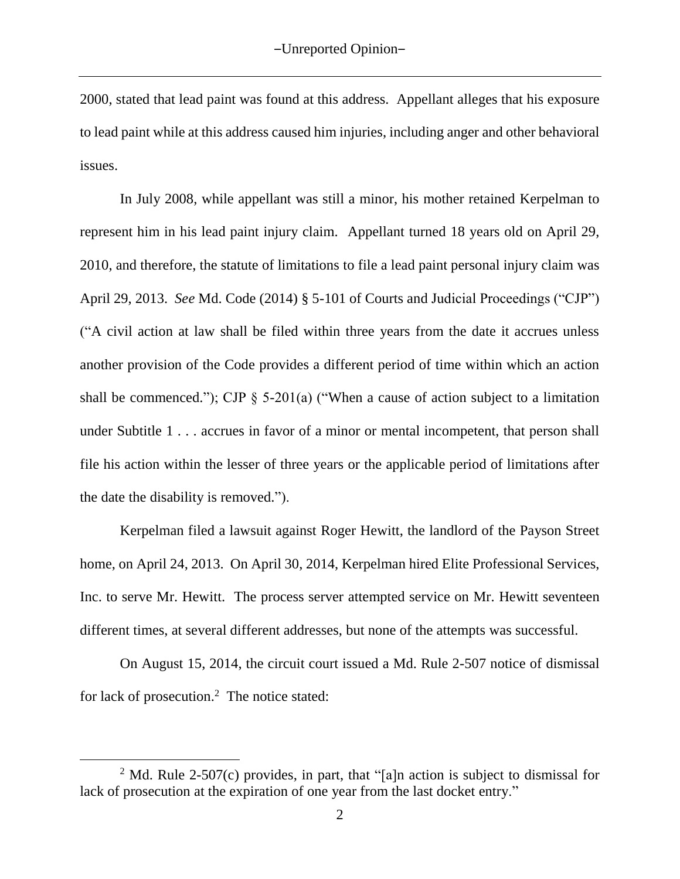2000, stated that lead paint was found at this address. Appellant alleges that his exposure to lead paint while at this address caused him injuries, including anger and other behavioral issues.

In July 2008, while appellant was still a minor, his mother retained Kerpelman to represent him in his lead paint injury claim. Appellant turned 18 years old on April 29, 2010, and therefore, the statute of limitations to file a lead paint personal injury claim was April 29, 2013. *See* Md. Code (2014) § 5-101 of Courts and Judicial Proceedings ("CJP") ("A civil action at law shall be filed within three years from the date it accrues unless another provision of the Code provides a different period of time within which an action shall be commenced."); CJP  $\S$  5-201(a) ("When a cause of action subject to a limitation under Subtitle 1... accrues in favor of a minor or mental incompetent, that person shall file his action within the lesser of three years or the applicable period of limitations after the date the disability is removed.").

Kerpelman filed a lawsuit against Roger Hewitt, the landlord of the Payson Street home, on April 24, 2013. On April 30, 2014, Kerpelman hired Elite Professional Services, Inc. to serve Mr. Hewitt. The process server attempted service on Mr. Hewitt seventeen different times, at several different addresses, but none of the attempts was successful.

On August 15, 2014, the circuit court issued a Md. Rule 2-507 notice of dismissal for lack of prosecution.<sup>2</sup> The notice stated:

 $\overline{a}$ 

<sup>&</sup>lt;sup>2</sup> Md. Rule 2-507(c) provides, in part, that "[a]n action is subject to dismissal for lack of prosecution at the expiration of one year from the last docket entry."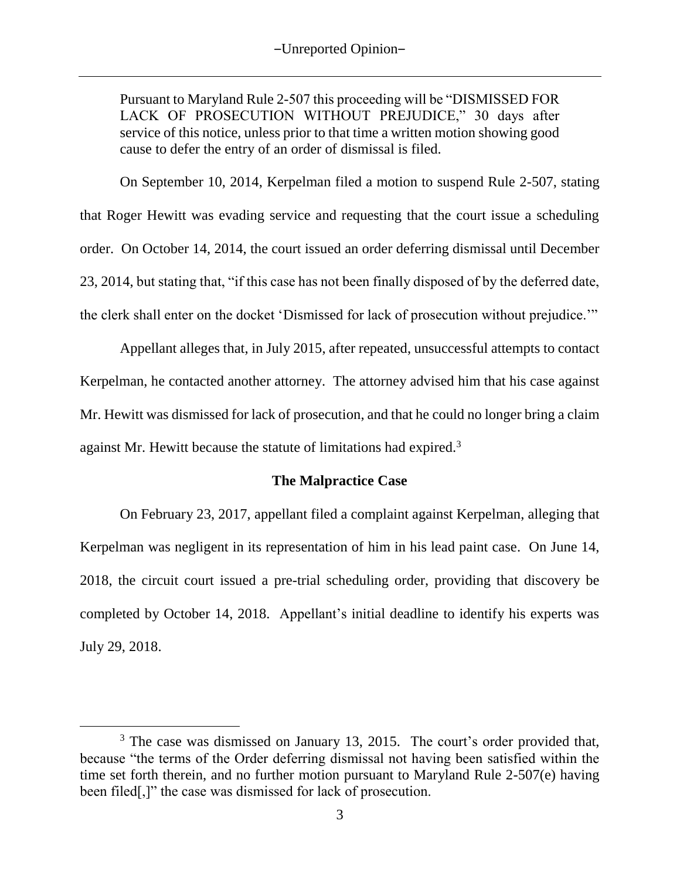Pursuant to Maryland Rule 2-507 this proceeding will be "DISMISSED FOR LACK OF PROSECUTION WITHOUT PREJUDICE," 30 days after service of this notice, unless prior to that time a written motion showing good cause to defer the entry of an order of dismissal is filed.

On September 10, 2014, Kerpelman filed a motion to suspend Rule 2-507, stating that Roger Hewitt was evading service and requesting that the court issue a scheduling order. On October 14, 2014, the court issued an order deferring dismissal until December 23, 2014, but stating that, "if this case has not been finally disposed of by the deferred date, the clerk shall enter on the docket 'Dismissed for lack of prosecution without prejudice.'"

Appellant alleges that, in July 2015, after repeated, unsuccessful attempts to contact Kerpelman, he contacted another attorney. The attorney advised him that his case against Mr. Hewitt was dismissed for lack of prosecution, and that he could no longer bring a claim against Mr. Hewitt because the statute of limitations had expired.<sup>3</sup>

## **The Malpractice Case**

On February 23, 2017, appellant filed a complaint against Kerpelman, alleging that Kerpelman was negligent in its representation of him in his lead paint case. On June 14, 2018, the circuit court issued a pre-trial scheduling order, providing that discovery be completed by October 14, 2018. Appellant's initial deadline to identify his experts was July 29, 2018.

<sup>&</sup>lt;sup>3</sup> The case was dismissed on January 13, 2015. The court's order provided that, because "the terms of the Order deferring dismissal not having been satisfied within the time set forth therein, and no further motion pursuant to Maryland Rule 2-507(e) having been filed[,]" the case was dismissed for lack of prosecution.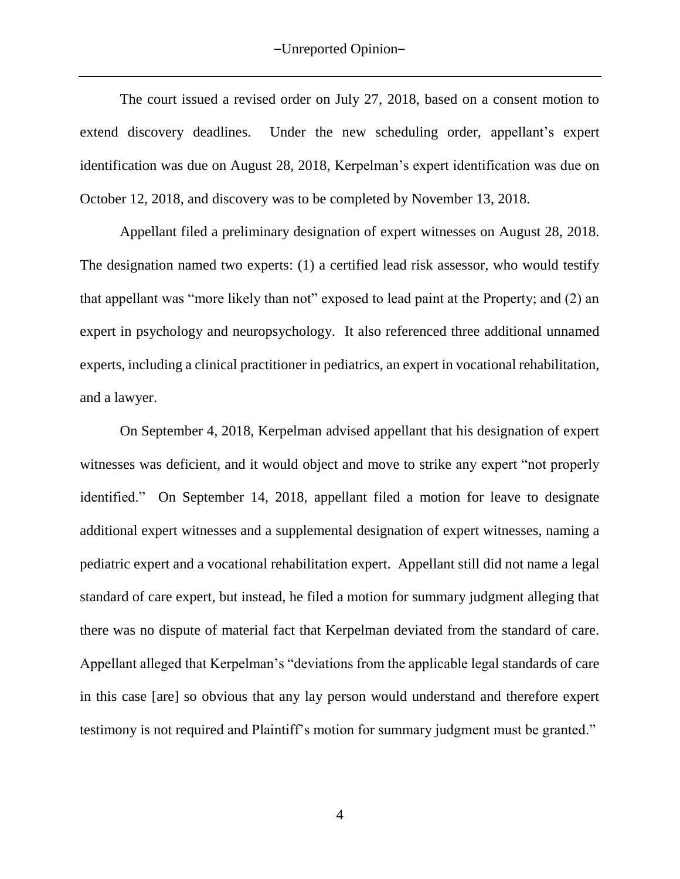The court issued a revised order on July 27, 2018, based on a consent motion to extend discovery deadlines. Under the new scheduling order, appellant's expert identification was due on August 28, 2018, Kerpelman's expert identification was due on October 12, 2018, and discovery was to be completed by November 13, 2018.

Appellant filed a preliminary designation of expert witnesses on August 28, 2018. The designation named two experts: (1) a certified lead risk assessor, who would testify that appellant was "more likely than not" exposed to lead paint at the Property; and (2) an expert in psychology and neuropsychology. It also referenced three additional unnamed experts, including a clinical practitioner in pediatrics, an expert in vocational rehabilitation, and a lawyer.

On September 4, 2018, Kerpelman advised appellant that his designation of expert witnesses was deficient, and it would object and move to strike any expert "not properly identified." On September 14, 2018, appellant filed a motion for leave to designate additional expert witnesses and a supplemental designation of expert witnesses, naming a pediatric expert and a vocational rehabilitation expert. Appellant still did not name a legal standard of care expert, but instead, he filed a motion for summary judgment alleging that there was no dispute of material fact that Kerpelman deviated from the standard of care. Appellant alleged that Kerpelman's "deviations from the applicable legal standards of care in this case [are] so obvious that any lay person would understand and therefore expert testimony is not required and Plaintiff's motion for summary judgment must be granted."

4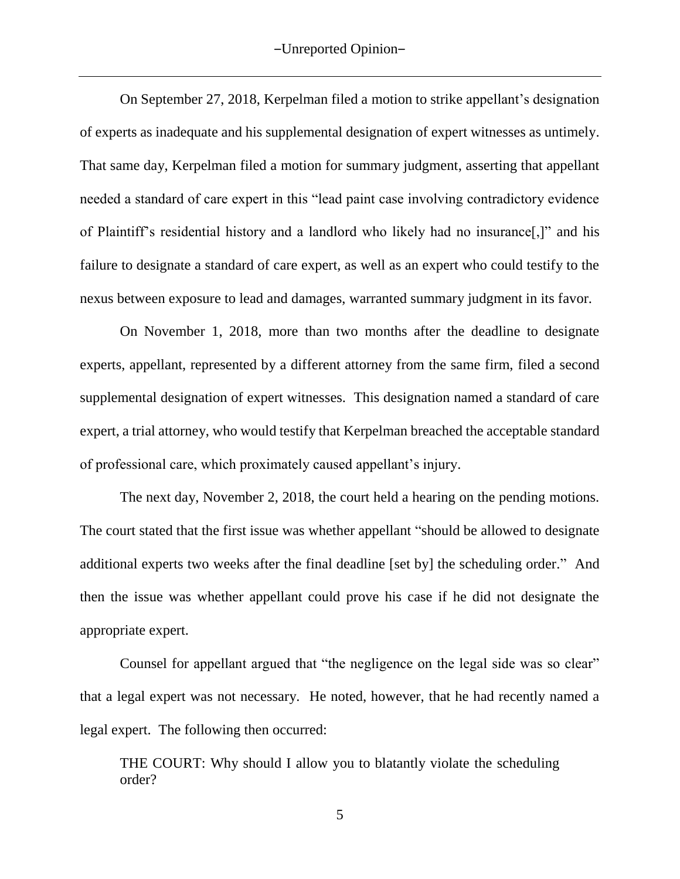On September 27, 2018, Kerpelman filed a motion to strike appellant's designation of experts as inadequate and his supplemental designation of expert witnesses as untimely. That same day, Kerpelman filed a motion for summary judgment, asserting that appellant needed a standard of care expert in this "lead paint case involving contradictory evidence of Plaintiff's residential history and a landlord who likely had no insurance[,]" and his failure to designate a standard of care expert, as well as an expert who could testify to the nexus between exposure to lead and damages, warranted summary judgment in its favor.

On November 1, 2018, more than two months after the deadline to designate experts, appellant, represented by a different attorney from the same firm, filed a second supplemental designation of expert witnesses.This designation named a standard of care expert, a trial attorney, who would testify that Kerpelman breached the acceptable standard of professional care, which proximately caused appellant's injury.

The next day, November 2, 2018, the court held a hearing on the pending motions. The court stated that the first issue was whether appellant "should be allowed to designate additional experts two weeks after the final deadline [set by] the scheduling order." And then the issue was whether appellant could prove his case if he did not designate the appropriate expert.

Counsel for appellant argued that "the negligence on the legal side was so clear" that a legal expert was not necessary. He noted, however, that he had recently named a legal expert. The following then occurred:

THE COURT: Why should I allow you to blatantly violate the scheduling order?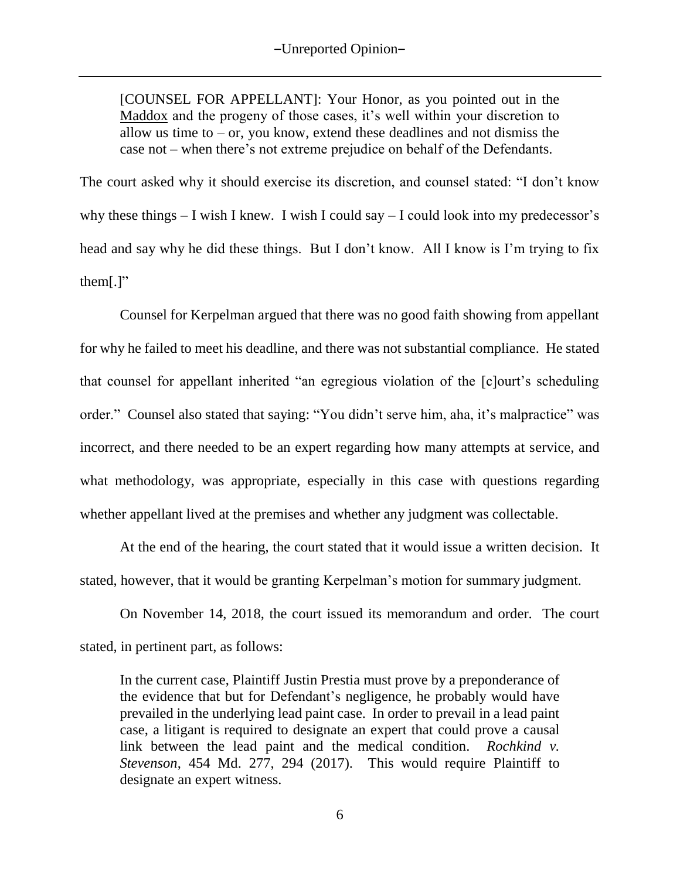[COUNSEL FOR APPELLANT]: Your Honor, as you pointed out in the Maddox and the progeny of those cases, it's well within your discretion to allow us time to  $-$  or, you know, extend these deadlines and not dismiss the case not – when there's not extreme prejudice on behalf of the Defendants.

The court asked why it should exercise its discretion, and counsel stated: "I don't know why these things  $- I$  wish I knew. I wish I could say  $- I$  could look into my predecessor's head and say why he did these things. But I don't know. All I know is I'm trying to fix them[.]"

Counsel for Kerpelman argued that there was no good faith showing from appellant for why he failed to meet his deadline, and there was not substantial compliance. He stated that counsel for appellant inherited "an egregious violation of the [c]ourt's scheduling order." Counsel also stated that saying: "You didn't serve him, aha, it's malpractice" was incorrect, and there needed to be an expert regarding how many attempts at service, and what methodology, was appropriate, especially in this case with questions regarding whether appellant lived at the premises and whether any judgment was collectable.

At the end of the hearing, the court stated that it would issue a written decision. It stated, however, that it would be granting Kerpelman's motion for summary judgment.

On November 14, 2018, the court issued its memorandum and order. The court stated, in pertinent part, as follows:

In the current case, Plaintiff Justin Prestia must prove by a preponderance of the evidence that but for Defendant's negligence, he probably would have prevailed in the underlying lead paint case. In order to prevail in a lead paint case, a litigant is required to designate an expert that could prove a causal link between the lead paint and the medical condition. *Rochkind v. Stevenson*, 454 Md. 277, 294 (2017). This would require Plaintiff to designate an expert witness.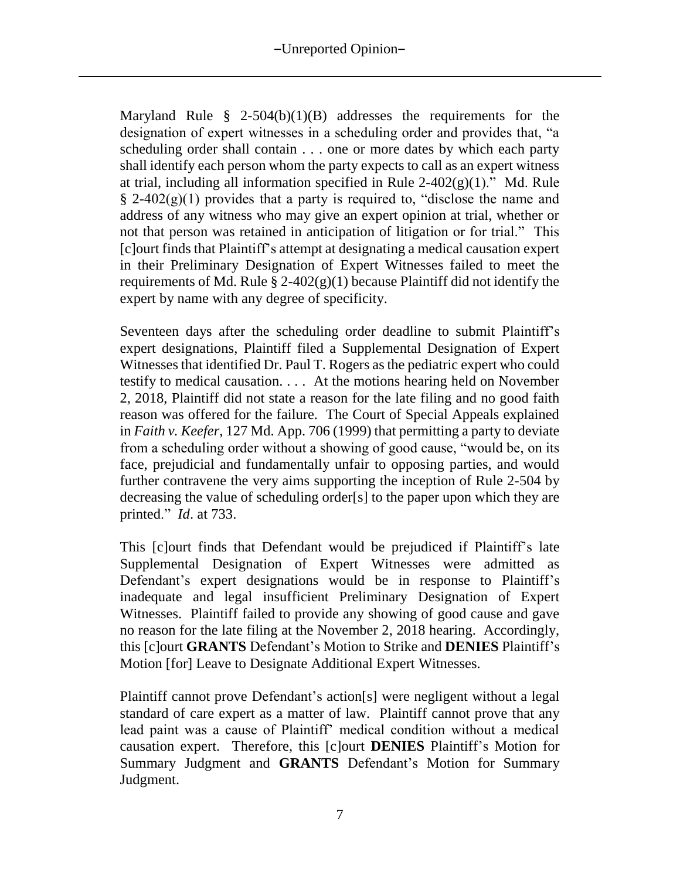Maryland Rule  $\frac{8}{9}$  2-504(b)(1)(B) addresses the requirements for the designation of expert witnesses in a scheduling order and provides that, "a scheduling order shall contain . . . one or more dates by which each party shall identify each person whom the party expects to call as an expert witness at trial, including all information specified in Rule  $2-402(g)(1)$ ." Md. Rule  $\S$  2-402(g)(1) provides that a party is required to, "disclose the name and address of any witness who may give an expert opinion at trial, whether or not that person was retained in anticipation of litigation or for trial." This [c]ourt finds that Plaintiff's attempt at designating a medical causation expert in their Preliminary Designation of Expert Witnesses failed to meet the requirements of Md. Rule  $\S 2-402(g)(1)$  because Plaintiff did not identify the expert by name with any degree of specificity.

Seventeen days after the scheduling order deadline to submit Plaintiff's expert designations, Plaintiff filed a Supplemental Designation of Expert Witnesses that identified Dr. Paul T. Rogers as the pediatric expert who could testify to medical causation. . . . At the motions hearing held on November 2, 2018, Plaintiff did not state a reason for the late filing and no good faith reason was offered for the failure. The Court of Special Appeals explained in *Faith v. Keefer*, 127 Md. App. 706 (1999) that permitting a party to deviate from a scheduling order without a showing of good cause, "would be, on its face, prejudicial and fundamentally unfair to opposing parties, and would further contravene the very aims supporting the inception of Rule 2-504 by decreasing the value of scheduling order[s] to the paper upon which they are printed." *Id*. at 733.

This [c]ourt finds that Defendant would be prejudiced if Plaintiff's late Supplemental Designation of Expert Witnesses were admitted as Defendant's expert designations would be in response to Plaintiff's inadequate and legal insufficient Preliminary Designation of Expert Witnesses. Plaintiff failed to provide any showing of good cause and gave no reason for the late filing at the November 2, 2018 hearing. Accordingly, this [c]ourt **GRANTS** Defendant's Motion to Strike and **DENIES** Plaintiff's Motion [for] Leave to Designate Additional Expert Witnesses.

Plaintiff cannot prove Defendant's action[s] were negligent without a legal standard of care expert as a matter of law. Plaintiff cannot prove that any lead paint was a cause of Plaintiff' medical condition without a medical causation expert. Therefore, this [c]ourt **DENIES** Plaintiff's Motion for Summary Judgment and **GRANTS** Defendant's Motion for Summary Judgment.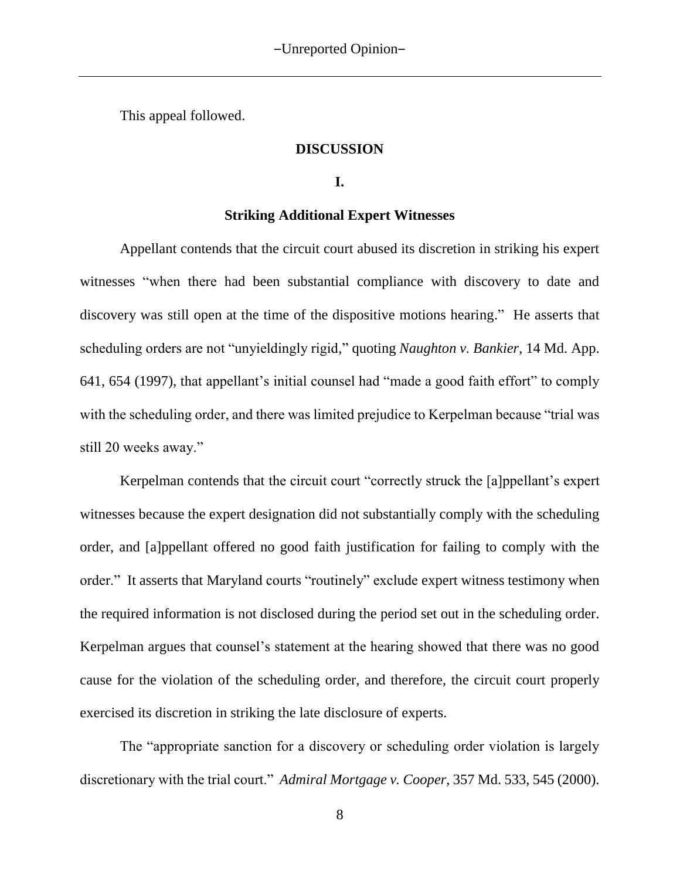This appeal followed.

#### **DISCUSSION**

### **I.**

#### **Striking Additional Expert Witnesses**

Appellant contends that the circuit court abused its discretion in striking his expert witnesses "when there had been substantial compliance with discovery to date and discovery was still open at the time of the dispositive motions hearing." He asserts that scheduling orders are not "unyieldingly rigid," quoting *Naughton v. Bankier*, 14 Md. App. 641, 654 (1997), that appellant's initial counsel had "made a good faith effort" to comply with the scheduling order, and there was limited prejudice to Kerpelman because "trial was still 20 weeks away."

Kerpelman contends that the circuit court "correctly struck the [a]ppellant's expert witnesses because the expert designation did not substantially comply with the scheduling order, and [a]ppellant offered no good faith justification for failing to comply with the order." It asserts that Maryland courts "routinely" exclude expert witness testimony when the required information is not disclosed during the period set out in the scheduling order. Kerpelman argues that counsel's statement at the hearing showed that there was no good cause for the violation of the scheduling order, and therefore, the circuit court properly exercised its discretion in striking the late disclosure of experts.

The "appropriate sanction for a discovery or scheduling order violation is largely discretionary with the trial court." *Admiral Mortgage v. Cooper*, 357 Md. 533, 545 (2000).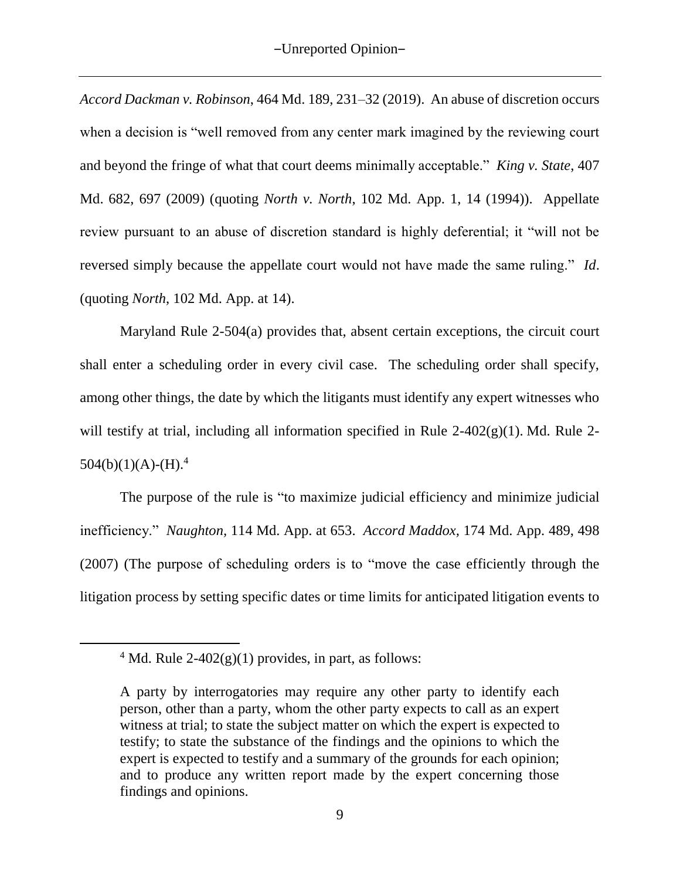*Accord Dackman v. Robinson*, 464 Md. 189, 231–32 (2019). An abuse of discretion occurs when a decision is "well removed from any center mark imagined by the reviewing court and beyond the fringe of what that court deems minimally acceptable." *King v. State*, 407 Md. 682, 697 (2009) (quoting *North v. North*, 102 Md. App. 1, 14 (1994)). Appellate review pursuant to an abuse of discretion standard is highly deferential; it "will not be reversed simply because the appellate court would not have made the same ruling." *Id*. (quoting *North*, 102 Md. App. at 14).

Maryland Rule 2-504(a) provides that, absent certain exceptions, the circuit court shall enter a scheduling order in every civil case. The scheduling order shall specify, among other things, the date by which the litigants must identify any expert witnesses who will testify at trial, including all information specified in Rule 2-402(g)(1). Md. Rule 2- $504(b)(1)(A)-(H).4$ 

The purpose of the rule is "to maximize judicial efficiency and minimize judicial inefficiency." *Naughton,* 114 Md. App. at 653. *Accord Maddox,* 174 Md. App. 489, 498 (2007) (The purpose of scheduling orders is to "move the case efficiently through the litigation process by setting specific dates or time limits for anticipated litigation events to

 $\overline{a}$ 

<sup>&</sup>lt;sup>4</sup> Md. Rule 2-402(g)(1) provides, in part, as follows:

A party by interrogatories may require any other party to identify each person, other than a party, whom the other party expects to call as an expert witness at trial; to state the subject matter on which the expert is expected to testify; to state the substance of the findings and the opinions to which the expert is expected to testify and a summary of the grounds for each opinion; and to produce any written report made by the expert concerning those findings and opinions.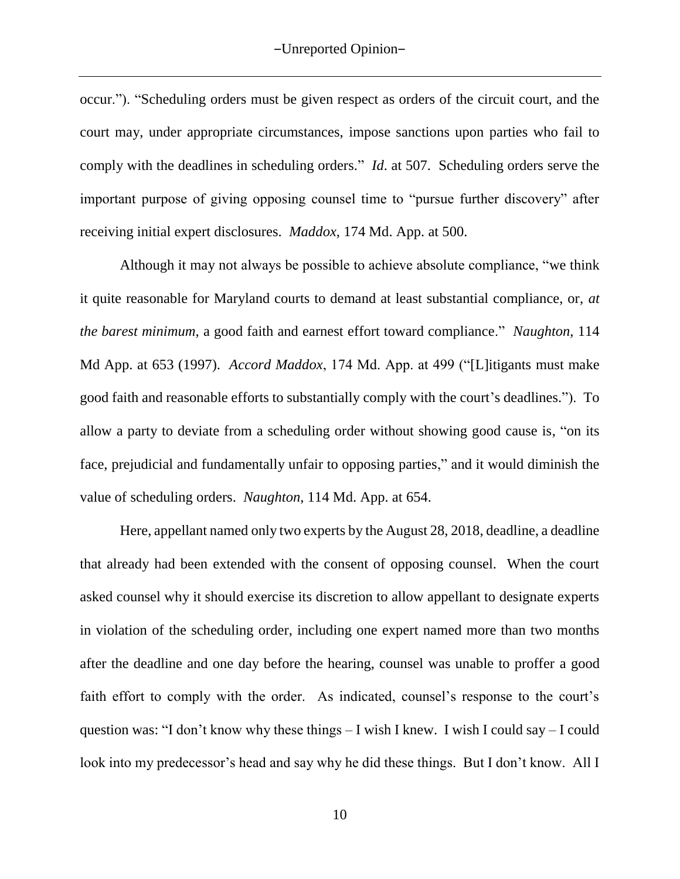occur."). "Scheduling orders must be given respect as orders of the circuit court, and the court may, under appropriate circumstances, impose sanctions upon parties who fail to comply with the deadlines in scheduling orders." *Id*. at 507. Scheduling orders serve the important purpose of giving opposing counsel time to "pursue further discovery" after receiving initial expert disclosures. *Maddox,* 174 Md. App. at 500.

Although it may not always be possible to achieve absolute compliance, "we think it quite reasonable for Maryland courts to demand at least substantial compliance, or, *at the barest minimum*, a good faith and earnest effort toward compliance." *Naughton*, 114 Md App. at 653 (1997). *Accord Maddox*, 174 Md. App. at 499 ("[L]itigants must make good faith and reasonable efforts to substantially comply with the court's deadlines."). To allow a party to deviate from a scheduling order without showing good cause is, "on its face, prejudicial and fundamentally unfair to opposing parties," and it would diminish the value of scheduling orders. *Naughton*, 114 Md. App. at 654.

Here, appellant named only two experts by the August 28, 2018, deadline, a deadline that already had been extended with the consent of opposing counsel. When the court asked counsel why it should exercise its discretion to allow appellant to designate experts in violation of the scheduling order, including one expert named more than two months after the deadline and one day before the hearing, counsel was unable to proffer a good faith effort to comply with the order. As indicated, counsel's response to the court's question was: "I don't know why these things – I wish I knew. I wish I could say – I could look into my predecessor's head and say why he did these things. But I don't know. All I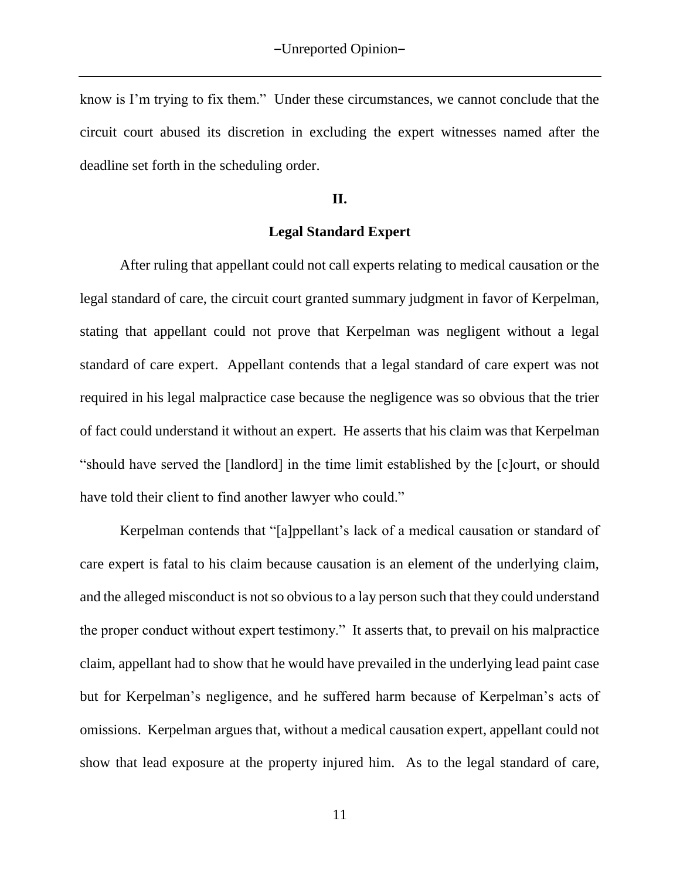know is I'm trying to fix them." Under these circumstances, we cannot conclude that the circuit court abused its discretion in excluding the expert witnesses named after the deadline set forth in the scheduling order.

## **II.**

### **Legal Standard Expert**

After ruling that appellant could not call experts relating to medical causation or the legal standard of care, the circuit court granted summary judgment in favor of Kerpelman, stating that appellant could not prove that Kerpelman was negligent without a legal standard of care expert. Appellant contends that a legal standard of care expert was not required in his legal malpractice case because the negligence was so obvious that the trier of fact could understand it without an expert. He asserts that his claim was that Kerpelman "should have served the [landlord] in the time limit established by the [c]ourt, or should have told their client to find another lawyer who could."

Kerpelman contends that "[a]ppellant's lack of a medical causation or standard of care expert is fatal to his claim because causation is an element of the underlying claim, and the alleged misconduct is not so obvious to a lay person such that they could understand the proper conduct without expert testimony." It asserts that, to prevail on his malpractice claim, appellant had to show that he would have prevailed in the underlying lead paint case but for Kerpelman's negligence, and he suffered harm because of Kerpelman's acts of omissions. Kerpelman argues that, without a medical causation expert, appellant could not show that lead exposure at the property injured him. As to the legal standard of care,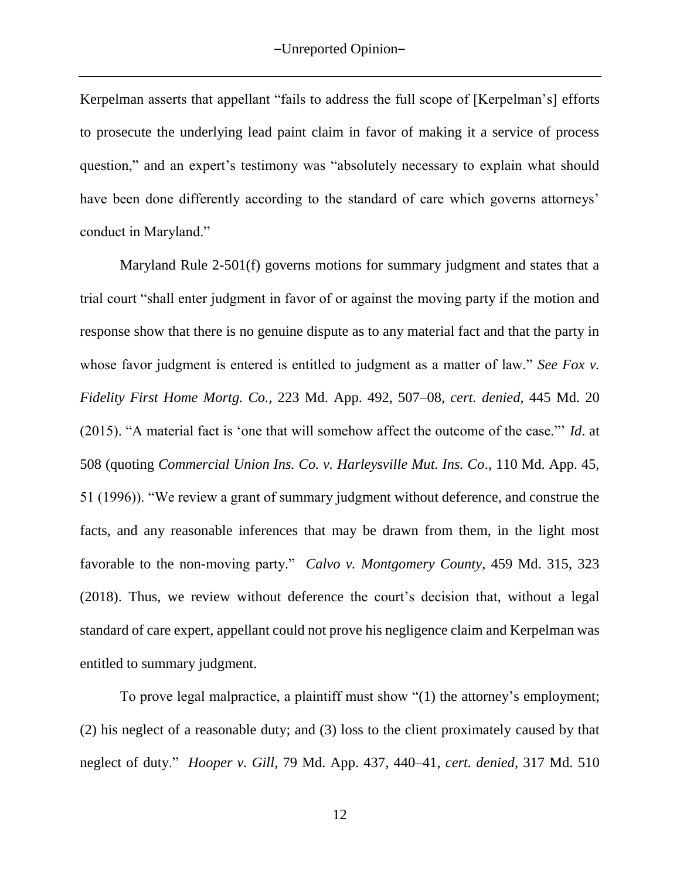Kerpelman asserts that appellant "fails to address the full scope of [Kerpelman's] efforts to prosecute the underlying lead paint claim in favor of making it a service of process question," and an expert's testimony was "absolutely necessary to explain what should have been done differently according to the standard of care which governs attorneys' conduct in Maryland."

Maryland Rule 2-501(f) governs motions for summary judgment and states that a trial court "shall enter judgment in favor of or against the moving party if the motion and response show that there is no genuine dispute as to any material fact and that the party in whose favor judgment is entered is entitled to judgment as a matter of law." *See Fox v. Fidelity First Home Mortg. Co.,* 223 Md. App. 492, 507–08, *cert. denied*, 445 Md. 20 (2015). "A material fact is 'one that will somehow affect the outcome of the case."' *Id*. at 508 (quoting *Commercial Union Ins. Co. v. Harleysville Mut. Ins. Co*., 110 Md. App. 45, 51 (1996)). "We review a grant of summary judgment without deference, and construe the facts, and any reasonable inferences that may be drawn from them, in the light most favorable to the non-moving party." *Calvo v. Montgomery County*, 459 Md. 315, 323 (2018). Thus, we review without deference the court's decision that, without a legal standard of care expert, appellant could not prove his negligence claim and Kerpelman was entitled to summary judgment.

To prove legal malpractice, a plaintiff must show "(1) the attorney's employment; (2) his neglect of a reasonable duty; and (3) loss to the client proximately caused by that neglect of duty." *Hooper v. Gill*, 79 Md. App. 437, 440–41, *cert. denied*, 317 Md. 510

12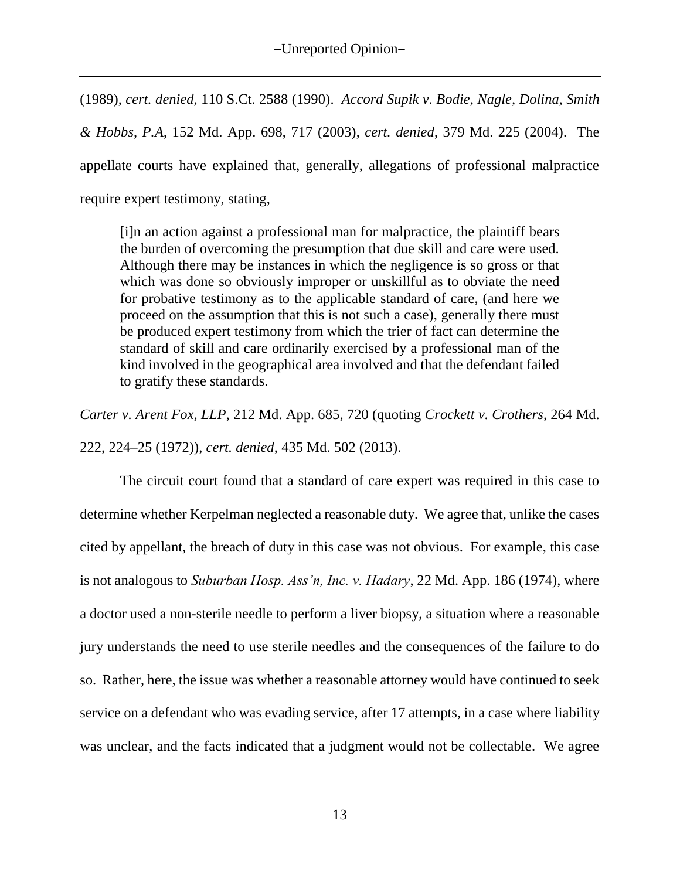(1989), *cert. denied*, 110 S.Ct. 2588 (1990). *Accord Supik v. Bodie, Nagle, Dolina, Smith & Hobbs, P.A*, 152 Md. App. 698, 717 (2003), *cert. denied*, 379 Md. 225 (2004). The appellate courts have explained that, generally, allegations of professional malpractice require expert testimony, stating,

[i]n an action against a professional man for malpractice, the plaintiff bears the burden of overcoming the presumption that due skill and care were used. Although there may be instances in which the negligence is so gross or that which was done so obviously improper or unskillful as to obviate the need for probative testimony as to the applicable standard of care, (and here we proceed on the assumption that this is not such a case), generally there must be produced expert testimony from which the trier of fact can determine the standard of skill and care ordinarily exercised by a professional man of the kind involved in the geographical area involved and that the defendant failed to gratify these standards.

*Carter v. Arent Fox, LLP*, 212 Md. App. 685, 720 (quoting *Crockett v. Crothers*, 264 Md. 222, 224–25 (1972)), *cert. denied*, 435 Md. 502 (2013).

The circuit court found that a standard of care expert was required in this case to determine whether Kerpelman neglected a reasonable duty. We agree that, unlike the cases cited by appellant, the breach of duty in this case was not obvious. For example, this case is not analogous to *Suburban Hosp. Ass'n, Inc. v. Hadary*, 22 Md. App. 186 (1974), where a doctor used a non-sterile needle to perform a liver biopsy, a situation where a reasonable jury understands the need to use sterile needles and the consequences of the failure to do so. Rather, here, the issue was whether a reasonable attorney would have continued to seek service on a defendant who was evading service, after 17 attempts, in a case where liability was unclear, and the facts indicated that a judgment would not be collectable. We agree